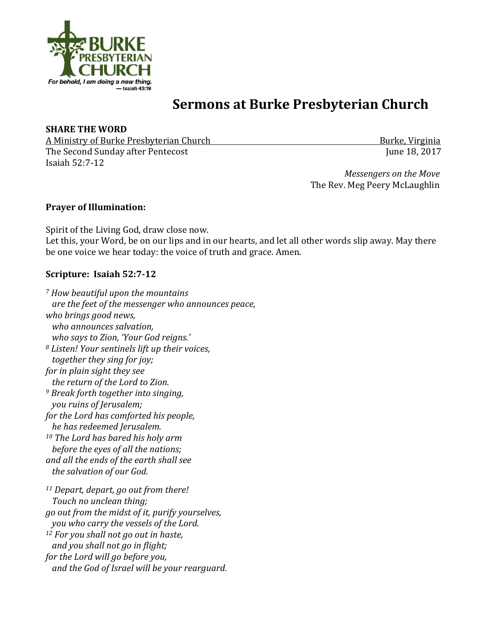

# **Sermons at Burke Presbyterian Church**

### **SHARE THE WORD**

A Ministry of Burke Presbyterian Church *Network Church Burke, Virginia Burke*, *Virginia* The Second Sunday after Pentecost June 18, 2017 Isaiah 52:7-12 

*Messengers* on the Move The Rev. Meg Peery McLaughlin

### **Prayer of Illumination:**

Spirit of the Living God, draw close now. Let this, your Word, be on our lips and in our hearts, and let all other words slip away. May there be one voice we hear today: the voice of truth and grace. Amen.

## Scripture: Isaiah 52:7-12

*<sup>7</sup> How beautiful upon the mountains are the feet of the messenger who announces peace, who brings good news, who announces salvation, who says to Zion, 'Your God reigns.' <sup>8</sup> Listen! Your sentinels lift up their voices, together they sing for joy; for in plain sight they see the return of the Lord to Zion. <sup>9</sup> Break forth together into singing, you ruins of Jerusalem; for the Lord has comforted his people, he has redeemed Jerusalem. <sup>10</sup> The Lord has bared his holy arm before the eyes of all the nations; and all the ends of the earth shall see the salvation of our God.* 11 Depart, depart, go out from there! *Touch no unclean thing; go out from the midst of it, purify yourselves, you who carry the vessels of the Lord.* <sup>12</sup> For you shall not go out in haste, *and you shall not go in flight; for the Lord will go before you, and the God of Israel will be your rearguard.*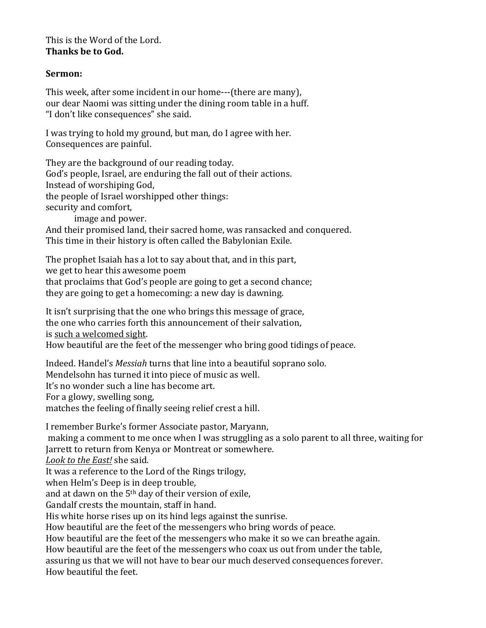This is the Word of the Lord. **Thanks be to God.** 

### **Sermon:**

This week, after some incident in our home---(there are many). our dear Naomi was sitting under the dining room table in a huff. "I don't like consequences" she said.

I was trying to hold my ground, but man, do I agree with her. Consequences are painful.

They are the background of our reading today. God's people, Israel, are enduring the fall out of their actions. Instead of worshiping God, the people of Israel worshipped other things: security and comfort, image and power.

And their promised land, their sacred home, was ransacked and conquered. This time in their history is often called the Babylonian Exile.

The prophet Isaiah has a lot to say about that, and in this part, we get to hear this awesome poem that proclaims that God's people are going to get a second chance; they are going to get a homecoming: a new day is dawning.

It isn't surprising that the one who brings this message of grace, the one who carries forth this announcement of their salvation, is such a welcomed sight. How beautiful are the feet of the messenger who bring good tidings of peace.

Indeed. Handel's *Messiah* turns that line into a beautiful soprano solo. Mendelsohn has turned it into piece of music as well. It's no wonder such a line has become art. For a glowy, swelling song, matches the feeling of finally seeing relief crest a hill.

I remember Burke's former Associate pastor, Maryann, making a comment to me once when I was struggling as a solo parent to all three, waiting for Jarrett to return from Kenya or Montreat or somewhere.

Look to the East! she said.

It was a reference to the Lord of the Rings trilogy,

when Helm's Deep is in deep trouble,

and at dawn on the  $5<sup>th</sup>$  day of their version of exile,

Gandalf crests the mountain, staff in hand.

His white horse rises up on its hind legs against the sunrise.

How beautiful are the feet of the messengers who bring words of peace.

How beautiful are the feet of the messengers who make it so we can breathe again.

How beautiful are the feet of the messengers who coax us out from under the table, assuring us that we will not have to bear our much deserved consequences forever. How beautiful the feet.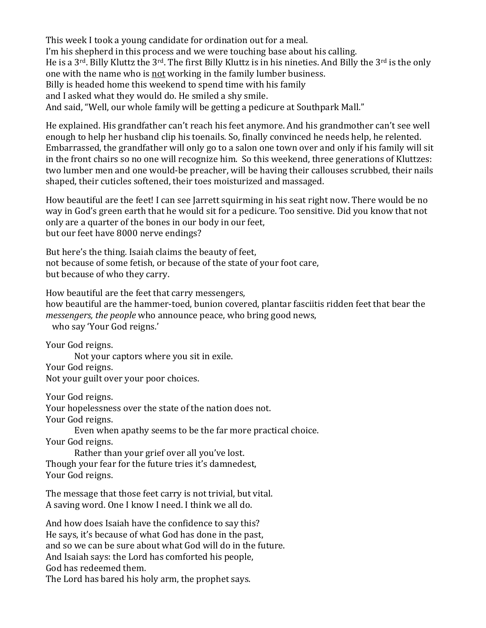This week I took a young candidate for ordination out for a meal. I'm his shepherd in this process and we were touching base about his calling. He is a  $3^{\text{rd}}$ . Billy Kluttz the  $3^{\text{rd}}$ . The first Billy Kluttz is in his nineties. And Billy the  $3^{\text{rd}}$  is the only one with the name who is not working in the family lumber business. Billy is headed home this weekend to spend time with his family and I asked what they would do. He smiled a shy smile. And said, "Well, our whole family will be getting a pedicure at Southpark Mall."

He explained. His grandfather can't reach his feet anymore. And his grandmother can't see well enough to help her husband clip his toenails. So, finally convinced he needs help, he relented. Embarrassed, the grandfather will only go to a salon one town over and only if his family will sit in the front chairs so no one will recognize him. So this weekend, three generations of Kluttzes: two lumber men and one would-be preacher, will be having their callouses scrubbed, their nails shaped, their cuticles softened, their toes moisturized and massaged.

How beautiful are the feet! I can see Jarrett squirming in his seat right now. There would be no way in God's green earth that he would sit for a pedicure. Too sensitive. Did you know that not only are a quarter of the bones in our body in our feet, but our feet have 8000 nerve endings?

But here's the thing. Isaiah claims the beauty of feet, not because of some fetish, or because of the state of your foot care, but because of who they carry.

How beautiful are the feet that carry messengers, how beautiful are the hammer-toed, bunion covered, plantar fasciitis ridden feet that bear the *messengers, the people* who announce peace, who bring good news, who say 'Your God reigns.'

Your God reigns.

Not your captors where you sit in exile.

Your God reigns.

Not your guilt over your poor choices.

Your God reigns.

Your hopelessness over the state of the nation does not.

Your God reigns.

Even when apathy seems to be the far more practical choice.

Your God reigns.

Rather than your grief over all you've lost. Though your fear for the future tries it's damnedest, Your God reigns.

The message that those feet carry is not trivial, but vital. A saving word. One I know I need. I think we all do.

And how does Isaiah have the confidence to say this? He says, it's because of what God has done in the past, and so we can be sure about what God will do in the future. And Isaiah says: the Lord has comforted his people, God has redeemed them. The Lord has bared his holy arm, the prophet says.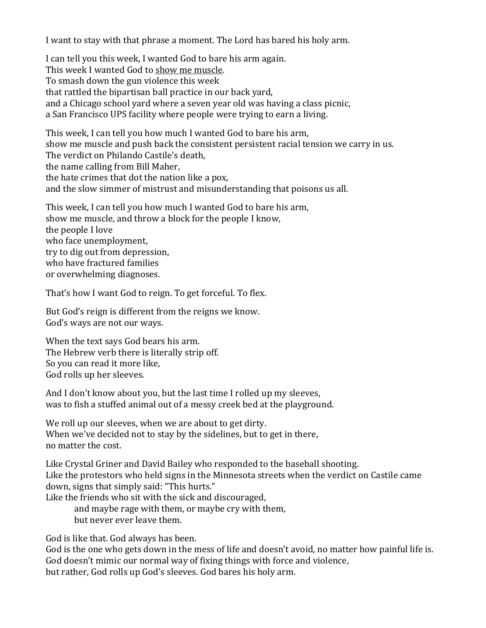I want to stay with that phrase a moment. The Lord has bared his holy arm.

I can tell you this week, I wanted God to bare his arm again. This week I wanted God to show me muscle. To smash down the gun violence this week that rattled the bipartisan ball practice in our back vard, and a Chicago school yard where a seven year old was having a class picnic, a San Francisco UPS facility where people were trying to earn a living.

This week, I can tell you how much I wanted God to bare his arm, show me muscle and push back the consistent persistent racial tension we carry in us. The verdict on Philando Castile's death, the name calling from Bill Maher, the hate crimes that dot the nation like a pox, and the slow simmer of mistrust and misunderstanding that poisons us all.

This week, I can tell you how much I wanted God to bare his arm, show me muscle, and throw a block for the people I know, the people I love who face unemployment, try to dig out from depression, who have fractured families or overwhelming diagnoses.

That's how I want God to reign. To get forceful. To flex.

But God's reign is different from the reigns we know. God's ways are not our ways.

When the text says God bears his arm. The Hebrew verb there is literally strip off. So you can read it more like, God rolls up her sleeves.

And I don't know about you, but the last time I rolled up my sleeves, was to fish a stuffed animal out of a messy creek bed at the playground.

We roll up our sleeves, when we are about to get dirty. When we've decided not to stay by the sidelines, but to get in there, no matter the cost.

Like Crystal Griner and David Bailey who responded to the baseball shooting. Like the protestors who held signs in the Minnesota streets when the verdict on Castile came down, signs that simply said: "This hurts."

Like the friends who sit with the sick and discouraged,

and maybe rage with them, or maybe cry with them, but never ever leave them.

God is like that. God always has been.

God is the one who gets down in the mess of life and doesn't avoid, no matter how painful life is. God doesn't mimic our normal way of fixing things with force and violence, but rather, God rolls up God's sleeves. God bares his holy arm.